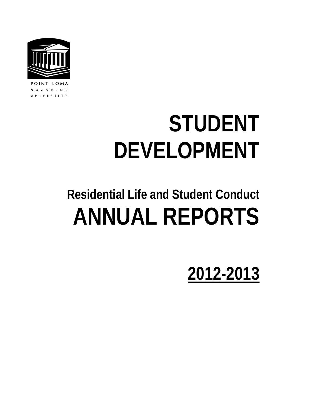

# **STUDENT DEVELOPMENT**

## **Residential Life and Student Conduct ANNUAL REPORTS**

### **2012-2013**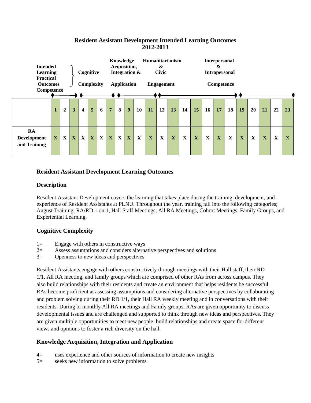#### **Resident Assistant Development Intended Learning Outcomes 2012-2013**



#### **Resident Assistant Development Learning Outcomes**

#### **Description**

Resident Assistant Development covers the learning that takes place during the training, development, and experience of Resident Assistants at PLNU. Throughout the year, training fall into the following categories; August Training, RA/RD 1 on 1, Hall Staff Meetings, All RA Meetings, Cohort Meetings, Family Groups, and Experiential Learning.

#### **Cognitive Complexity**

- $1=$  Engage with others in constructive ways<br> $2=$  Assess assumptions and considers alterna
- Assess assumptions and considers alternative perspectives and solutions
- 3= Openness to new ideas and perspectives

Resident Assistants engage with others constructively through meetings with their Hall staff, their RD 1/1, All RA meeting, and family groups which are comprised of other RAs from across campus. They also build relationships with their residents and create an environment that helps residents be successful. RAs become proficient at assessing assumptions and considering alternative perspectives by collaborating and problem solving during their RD 1/1, their Hall RA weekly meeting and in conversations with their residents. During bi monthly All RA meetings and Family groups, RAs are given opportunity to discuss developmental issues and are challenged and supported to think through new ideas and perspectives. They are given multiple opportunities to meet new people, build relationships and create space for different views and opinions to foster a rich diversity on the hall.

#### **Knowledge Acquisition, Integration and Application**

- 4= uses experience and other sources of information to create new insights
- 5= seeks new information to solve problems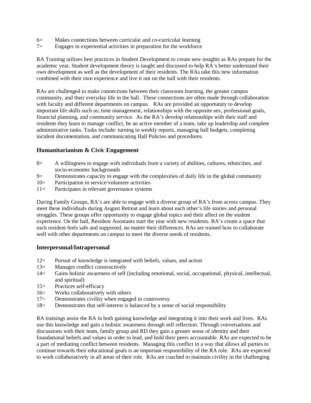- 6= Makes connections between curricular and co-curricular learning
- 7= Engages in experiential activities in preparation for the workforce

RA Training utilizes best practices in Student Development to create new insights as RAs prepare for the academic year. Student development theory is taught and discussed to help RA's better understand their own development as well as the development of their residents. The RAs take this new information combined with their own experience and live it out on the hall with their residents.

RAs are challenged to make connections between their classroom learning, the greater campus community, and their everyday life in the hall. These connections are often made through collaboration with faculty and different departments on campus. RAs are provided an opportunity to develop important life skills such as; time management, relationships with the opposite sex, professional goals, financial planning, and community service. As the RA's develop relationships with their staff and residents they learn to manage conflict, be an active member of a team, take up leadership and complete administrative tasks. Tasks include: turning in weekly reports, managing hall budgets, completing incident documentation, and communicating Hall Policies and procedures.

#### **Humanitarianism & Civic Engagement**

- 8= A willingness to engage with individuals from a variety of abilities, cultures, ethnicities, and socio-economic backgrounds
- 9= Demonstrates capacity to engage with the complexities of daily life in the global community
- 10= Participation in service/volunteer activities
- 11= Participates in relevant governance systems

During Family Groups, RA's are able to engage with a diverse group of RA's from across campus. They meet these individuals during August Retreat and learn about each other's life stories and personal struggles. These groups offer opportunity to engage global topics and their affect on the student experience. On the hall, Resident Assistants start the year with new residents. RA's create a space that each resident feels safe and supported, no matter their differences. RAs are trained how to collaborate well with other departments on campus to meet the diverse needs of residents.

#### **Interpersonal/Intrapersonal**

- 12= Pursuit of knowledge is integrated with beliefs, values, and action
- 13= Manages conflict constructively
- 14= Gains holistic awareness of self (including emotional, social, occupational, physical, intellectual, and spiritual)
- 15= Practices self-efficacy
- 16= Works collaboratively with others
- 17= Demonstrates civility when engaged in controversy
- 18= Demonstrates that self-interest is balanced by a sense of social responsibility

RA trainings assist the RA in both gaining knowledge and integrating it into their work and lives. RAs use this knowledge and gain a holistic awareness through self reflection. Through conversations and discussions with their team, family group and RD they gain a greater sense of identity and their foundational beliefs and values in order to lead, and hold their peers accountable. RAs are expected to be a part of mediating conflict between residents. Managing this conflict in a way that allows all parties to continue towards their educational goals is an important responsibility of the RA role. RAs are expected to work collaboratively in all areas of their role. RAs are coached to maintain civility in the challenging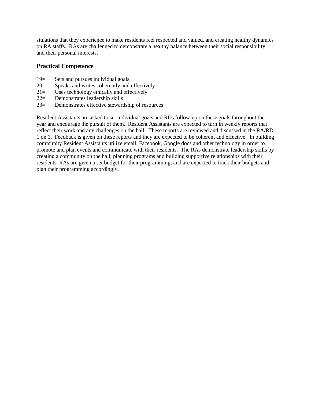situations that they experience to make residents feel respected and valued, and creating healthy dynamics on RA staffs. RAs are challenged to demonstrate a healthy balance between their social responsibility and their personal interests.

#### **Practical Competence**

- 19= Sets and pursues individual goals
- 20= Speaks and writes coherently and effectively
- 21= Uses technology ethically and effectively
- 22= Demonstrates leadership skills
- 23= Demonstrates effective stewardship of resources

Resident Assistants are asked to set individual goals and RDs follow-up on these goals throughout the year and encourage the pursuit of them. Resident Assistants are expected to turn in weekly reports that reflect their work and any challenges on the hall. These reports are reviewed and discussed in the RA/RD 1 on 1. Feedback is given on these reports and they are expected to be coherent and effective. In building community Resident Assistants utilize email, Facebook, Google docs and other technology in order to promote and plan events and communicate with their residents. The RAs demonstrate leadership skills by creating a community on the hall, planning programs and building supportive relationships with their residents. RAs are given a set budget for their programming, and are expected to track their budgets and plan their programming accordingly.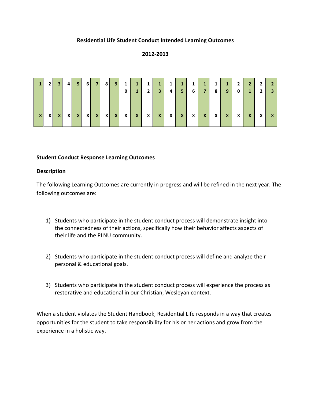#### **Residential Life Student Conduct Intended Learning Outcomes**

#### **2012-2013**

|  |             | $3 \mid 4 \mid 5 \mid 6 \mid$ |  | 7891 |  | $\blacksquare$ 3 | $1 \mid 1 \mid 1 \mid 1 \mid 1 \mid 1$<br>5 <sub>1</sub> | 6 N | $\mathbf{1}$<br>$\overline{7}$ | 8 | $1 \quad 1 \quad 2$<br>9 <sup>°</sup> | $\overline{2}$ | $\overline{2}$ |  |
|--|-------------|-------------------------------|--|------|--|------------------|----------------------------------------------------------|-----|--------------------------------|---|---------------------------------------|----------------|----------------|--|
|  | $X$ $X$ $X$ |                               |  |      |  |                  |                                                          |     | $\mathbf{X}$                   |   | $X$ $X$ $X$ $X$                       |                |                |  |

#### **Student Conduct Response Learning Outcomes**

#### **Description**

The following Learning Outcomes are currently in progress and will be refined in the next year. The following outcomes are:

- 1) Students who participate in the student conduct process will demonstrate insight into the connectedness of their actions, specifically how their behavior affects aspects of their life and the PLNU community.
- 2) Students who participate in the student conduct process will define and analyze their personal & educational goals.
- 3) Students who participate in the student conduct process will experience the process as restorative and educational in our Christian, Wesleyan context.

When a student violates the Student Handbook, Residential Life responds in a way that creates opportunities for the student to take responsibility for his or her actions and grow from the experience in a holistic way.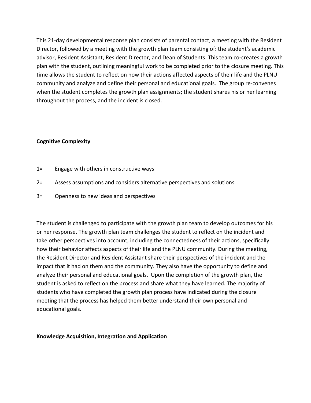This 21-day developmental response plan consists of parental contact, a meeting with the Resident Director, followed by a meeting with the growth plan team consisting of: the student's academic advisor, Resident Assistant, Resident Director, and Dean of Students. This team co-creates a growth plan with the student, outlining meaningful work to be completed prior to the closure meeting. This time allows the student to reflect on how their actions affected aspects of their life and the PLNU community and analyze and define their personal and educational goals. The group re-convenes when the student completes the growth plan assignments; the student shares his or her learning throughout the process, and the incident is closed.

#### **Cognitive Complexity**

- 1= Engage with others in constructive ways
- 2= Assess assumptions and considers alternative perspectives and solutions
- 3= Openness to new ideas and perspectives

The student is challenged to participate with the growth plan team to develop outcomes for his or her response. The growth plan team challenges the student to reflect on the incident and take other perspectives into account, including the connectedness of their actions, specifically how their behavior affects aspects of their life and the PLNU community. During the meeting, the Resident Director and Resident Assistant share their perspectives of the incident and the impact that it had on them and the community. They also have the opportunity to define and analyze their personal and educational goals. Upon the completion of the growth plan, the student is asked to reflect on the process and share what they have learned. The majority of students who have completed the growth plan process have indicated during the closure meeting that the process has helped them better understand their own personal and educational goals.

#### **Knowledge Acquisition, Integration and Application**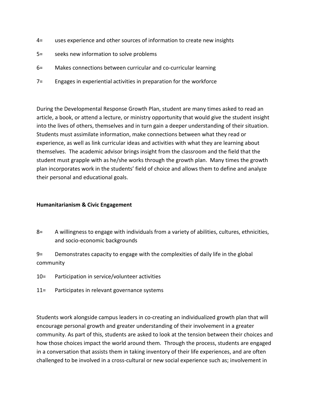- 4= uses experience and other sources of information to create new insights
- 5= seeks new information to solve problems
- 6= Makes connections between curricular and co-curricular learning
- 7= Engages in experiential activities in preparation for the workforce

During the Developmental Response Growth Plan, student are many times asked to read an article, a book, or attend a lecture, or ministry opportunity that would give the student insight into the lives of others, themselves and in turn gain a deeper understanding of their situation. Students must assimilate information, make connections between what they read or experience, as well as link curricular ideas and activities with what they are learning about themselves. The academic advisor brings insight from the classroom and the field that the student must grapple with as he/she works through the growth plan. Many times the growth plan incorporates work in the students' field of choice and allows them to define and analyze their personal and educational goals.

#### **Humanitarianism & Civic Engagement**

8= A willingness to engage with individuals from a variety of abilities, cultures, ethnicities, and socio-economic backgrounds

9= Demonstrates capacity to engage with the complexities of daily life in the global community

- 10= Participation in service/volunteer activities
- 11= Participates in relevant governance systems

Students work alongside campus leaders in co-creating an individualized growth plan that will encourage personal growth and greater understanding of their involvement in a greater community. As part of this, students are asked to look at the tension between their choices and how those choices impact the world around them. Through the process, students are engaged in a conversation that assists them in taking inventory of their life experiences, and are often challenged to be involved in a cross-cultural or new social experience such as; involvement in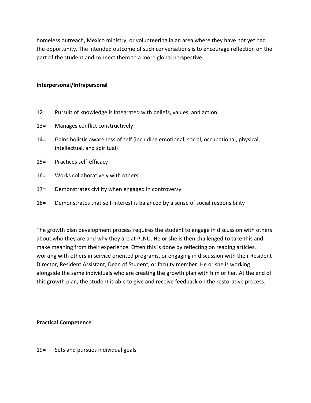homeless outreach, Mexico ministry, or volunteering in an area where they have not yet had the opportunity. The intended outcome of such conversations is to encourage reflection on the part of the student and connect them to a more global perspective.

#### **Interpersonal/Intrapersonal**

- 12= Pursuit of knowledge is integrated with beliefs, values, and action
- 13= Manages conflict constructively
- 14= Gains holistic awareness of self (including emotional, social, occupational, physical, intellectual, and spiritual)
- 15= Practices self-efficacy
- 16= Works collaboratively with others
- 17= Demonstrates civility when engaged in controversy
- 18= Demonstrates that self-interest is balanced by a sense of social responsibility

The growth plan development process requires the student to engage in discussion with others about who they are and why they are at PLNU. He or she is then challenged to take this and make meaning from their experience. Often this is done by reflecting on reading articles, working with others in service oriented programs, or engaging in discussion with their Resident Director, Resident Assistant, Dean of Student, or faculty member. He or she is working alongside the same individuals who are creating the growth plan with him or her. At the end of this growth plan, the student is able to give and receive feedback on the restorative process.

#### **Practical Competence**

19= Sets and pursues individual goals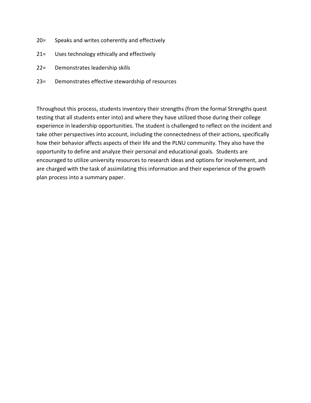- 20= Speaks and writes coherently and effectively
- 21= Uses technology ethically and effectively
- 22= Demonstrates leadership skills
- 23= Demonstrates effective stewardship of resources

Throughout this process, students inventory their strengths (from the formal Strengths quest testing that all students enter into) and where they have utilized those during their college experience in leadership opportunities. The student is challenged to reflect on the incident and take other perspectives into account, including the connectedness of their actions, specifically how their behavior affects aspects of their life and the PLNU community. They also have the opportunity to define and analyze their personal and educational goals. Students are encouraged to utilize university resources to research ideas and options for involvement, and are charged with the task of assimilating this information and their experience of the growth plan process into a summary paper.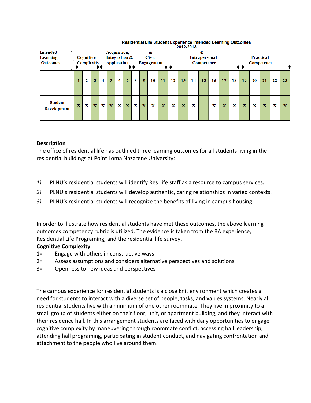| <b>Intended</b><br><b>Learning</b><br><b>Outcomes</b> | Cognitive<br>Complexity |             |             |             | <b>Acquisition,</b><br>Integration &<br>Application |             |              |             | &<br><b>Civic</b><br><b>Engagement</b> |    |              |    | &<br><b>Intrapersonal</b><br>Competence |    |    |    |             |    | Practical<br>Competence |    |             |    |             |
|-------------------------------------------------------|-------------------------|-------------|-------------|-------------|-----------------------------------------------------|-------------|--------------|-------------|----------------------------------------|----|--------------|----|-----------------------------------------|----|----|----|-------------|----|-------------------------|----|-------------|----|-------------|
|                                                       |                         | 2           | 3           | 4           | 5                                                   | 6           | 7            | 8           | 9 <sup>°</sup>                         | 10 | 11           | 12 | 13                                      | 14 | 15 | 16 | 17          | 18 | 19                      | 20 | 21          | 22 | 23          |
| <b>Student</b><br><b>Development</b>                  | X                       | $\mathbf x$ | $\mathbf x$ | $\mathbf x$ | $\mathbf x$                                         | $\mathbf x$ | $\mathbf{x}$ | $\mathbf x$ | $\mathbf{X}$                           | x  | $\mathbf{x}$ | x  | $\mathbf x$                             | x  |    | х  | $\mathbf x$ | x  | $\mathbf x$             | х  | $\mathbf x$ | х  | $\mathbf x$ |

#### Residential Life Student Experience Intended Learning Outcomes 2012-2013

#### **Description**

The office of residential life has outlined three learning outcomes for all students living in the residential buildings at Point Loma Nazarene University:

- *1)* PLNU's residential students will identify Res Life staff as a resource to campus services.
- *2)* PLNU's residential students will develop authentic, caring relationships in varied contexts.
- *3)* PLNU's residential students will recognize the benefits of living in campus housing.

In order to illustrate how residential students have met these outcomes, the above learning outcomes competency rubric is utilized. The evidence is taken from the RA experience, Residential Life Programing, and the residential life survey.

### **Cognitive Complexity**

- 1= Engage with others in constructive ways
- 2= Assess assumptions and considers alternative perspectives and solutions
- 3= Openness to new ideas and perspectives

The campus experience for residential students is a close knit environment which creates a need for students to interact with a diverse set of people, tasks, and values systems. Nearly all residential students live with a minimum of one other roommate. They live in proximity to a small group of students either on their floor, unit, or apartment building, and they interact with their residence hall. In this arrangement students are faced with daily opportunities to engage cognitive complexity by maneuvering through roommate conflict, accessing hall leadership, attending hall programing, participating in student conduct, and navigating confrontation and attachment to the people who live around them.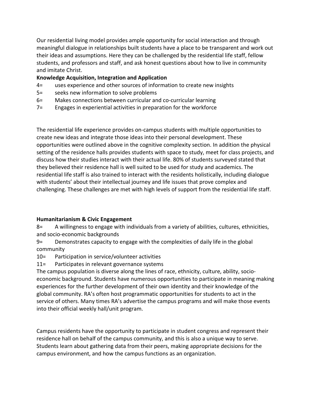Our residential living model provides ample opportunity for social interaction and through meaningful dialogue in relationships built students have a place to be transparent and work out their ideas and assumptions. Here they can be challenged by the residential life staff, fellow students, and professors and staff, and ask honest questions about how to live in community and imitate Christ.

### **Knowledge Acquisition, Integration and Application**

- 4= uses experience and other sources of information to create new insights
- 5= seeks new information to solve problems
- 6= Makes connections between curricular and co-curricular learning
- 7= Engages in experiential activities in preparation for the workforce

The residential life experience provides on-campus students with multiple opportunities to create new ideas and integrate those ideas into their personal development. These opportunities were outlined above in the cognitive complexity section. In addition the physical setting of the residence halls provides students with space to study, meet for class projects, and discuss how their studies interact with their actual life. 80% of students surveyed stated that they believed their residence hall is well suited to be used for study and academics. The residential life staff is also trained to interact with the residents holistically, including dialogue with students' about their intellectual journey and life issues that prove complex and challenging. These challenges are met with high levels of support from the residential life staff.

### **Humanitarianism & Civic Engagement**

8= A willingness to engage with individuals from a variety of abilities, cultures, ethnicities, and socio-economic backgrounds

9= Demonstrates capacity to engage with the complexities of daily life in the global community

- 10= Participation in service/volunteer activities
- 11= Participates in relevant governance systems

The campus population is diverse along the lines of race, ethnicity, culture, ability, socioeconomic background. Students have numerous opportunities to participate in meaning making experiences for the further development of their own identity and their knowledge of the global community. RA's often host programmatic opportunities for students to act in the service of others. Many times RA's advertise the campus programs and will make those events into their official weekly hall/unit program.

Campus residents have the opportunity to participate in student congress and represent their residence hall on behalf of the campus community, and this is also a unique way to serve. Students learn about gathering data from their peers, making appropriate decisions for the campus environment, and how the campus functions as an organization.